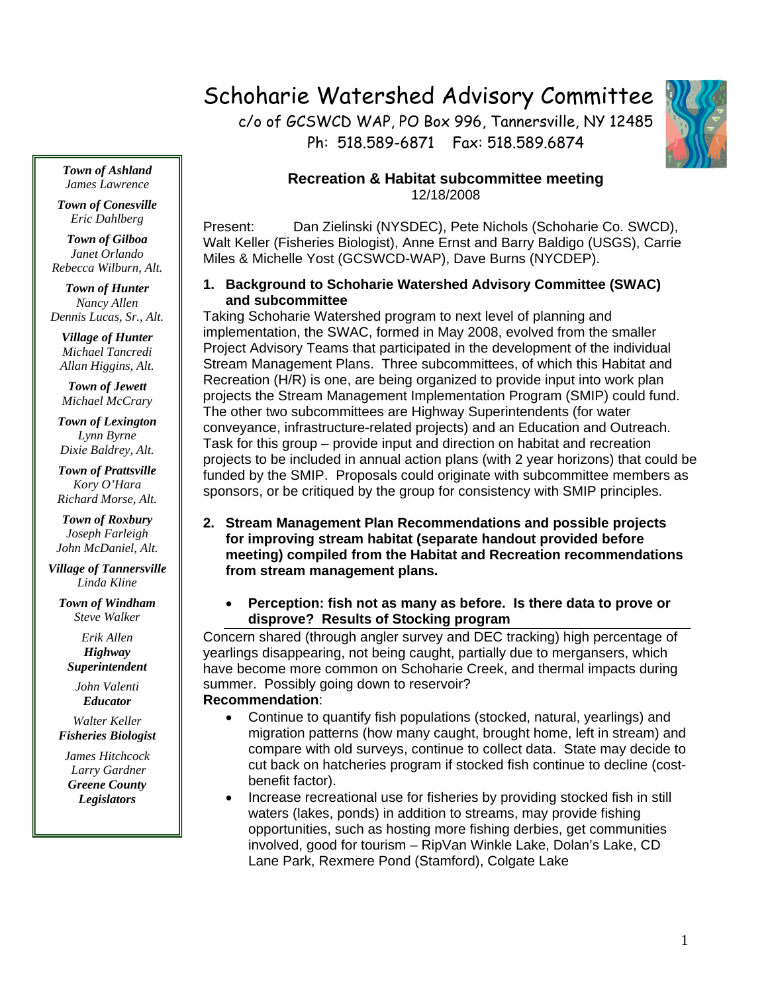# Schoharie Watershed Advisory Committee

c/o of GCSWCD WAP, PO Box 996, Tannersville, NY 12485 Ph: 518.589-6871 Fax: 518.589.6874



### **Recreation & Habitat subcommittee meeting**  12/18/2008

Present: Dan Zielinski (NYSDEC), Pete Nichols (Schoharie Co. SWCD), Walt Keller (Fisheries Biologist), Anne Ernst and Barry Baldigo (USGS), Carrie Miles & Michelle Yost (GCSWCD-WAP), Dave Burns (NYCDEP).

#### **1. Background to Schoharie Watershed Advisory Committee (SWAC) and subcommittee**

Taking Schoharie Watershed program to next level of planning and implementation, the SWAC, formed in May 2008, evolved from the smaller Project Advisory Teams that participated in the development of the individual Stream Management Plans. Three subcommittees, of which this Habitat and Recreation (H/R) is one, are being organized to provide input into work plan projects the Stream Management Implementation Program (SMIP) could fund. The other two subcommittees are Highway Superintendents (for water conveyance, infrastructure-related projects) and an Education and Outreach. Task for this group – provide input and direction on habitat and recreation projects to be included in annual action plans (with 2 year horizons) that could be funded by the SMIP. Proposals could originate with subcommittee members as sponsors, or be critiqued by the group for consistency with SMIP principles.

- **2. Stream Management Plan Recommendations and possible projects for improving stream habitat (separate handout provided before meeting) compiled from the Habitat and Recreation recommendations from stream management plans.** 
	- **Perception: fish not as many as before. Is there data to prove or disprove? Results of Stocking program**

Concern shared (through angler survey and DEC tracking) high percentage of yearlings disappearing, not being caught, partially due to mergansers, which have become more common on Schoharie Creek, and thermal impacts during summer. Possibly going down to reservoir?

## **Recommendation**:

- Continue to quantify fish populations (stocked, natural, yearlings) and migration patterns (how many caught, brought home, left in stream) and compare with old surveys, continue to collect data. State may decide to cut back on hatcheries program if stocked fish continue to decline (costbenefit factor).
- Increase recreational use for fisheries by providing stocked fish in still waters (lakes, ponds) in addition to streams, may provide fishing opportunities, such as hosting more fishing derbies, get communities involved, good for tourism – RipVan Winkle Lake, Dolan's Lake, CD Lane Park, Rexmere Pond (Stamford), Colgate Lake

*Town of Ashland James Lawrence* 

*Town of Conesville Eric Dahlberg* 

*Town of Gilboa Janet Orlando Rebecca Wilburn, Alt.* 

*Town of Hunter Nancy Allen Dennis Lucas, Sr., Alt.* 

*Village of Hunter Michael Tancredi Allan Higgins, Alt.* 

*Town of Jewett Michael McCrary* 

*Town of Lexington Lynn Byrne Dixie Baldrey, Alt.* 

*Town of Prattsville Kory O'Hara Richard Morse, Alt.* 

*Town of Roxbury Joseph Farleigh John McDaniel, Alt.* 

*Village of Tannersville Linda Kline* 

*Town of Windham Steve Walker* 

*Erik Allen Highway Superintendent* 

*John Valenti Educator* 

*Walter Keller Fisheries Biologist* 

*James Hitchcock Larry Gardner Greene County Legislators*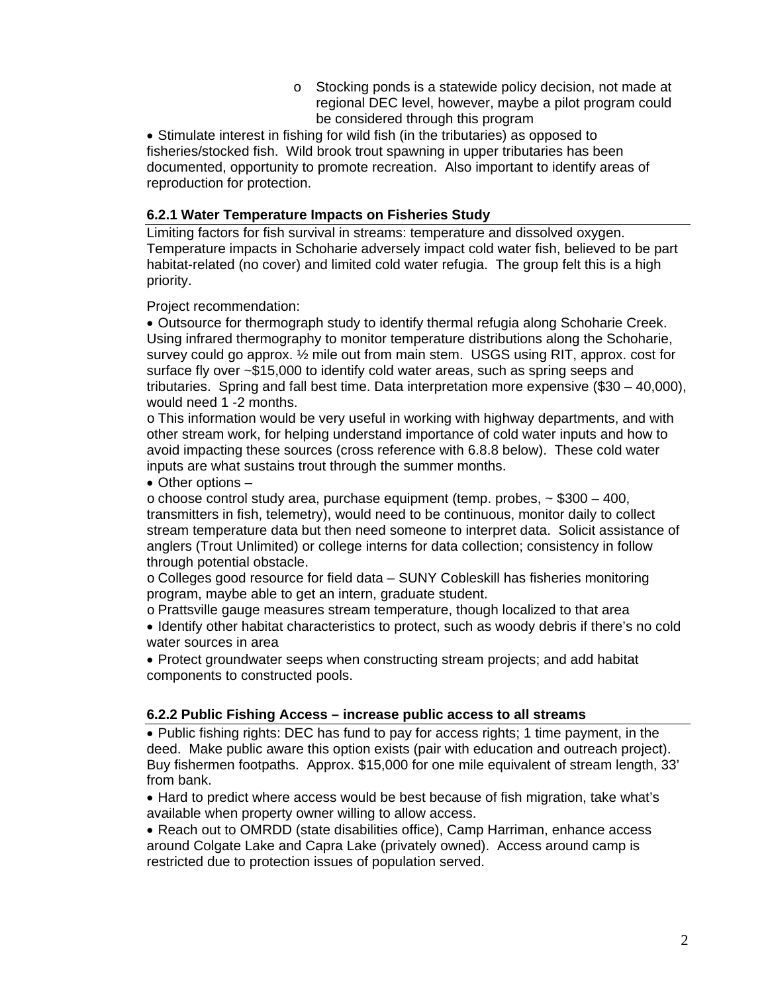o Stocking ponds is a statewide policy decision, not made at regional DEC level, however, maybe a pilot program could be considered through this program

• Stimulate interest in fishing for wild fish (in the tributaries) as opposed to fisheries/stocked fish. Wild brook trout spawning in upper tributaries has been documented, opportunity to promote recreation. Also important to identify areas of reproduction for protection.

#### **6.2.1 Water Temperature Impacts on Fisheries Study**

Limiting factors for fish survival in streams: temperature and dissolved oxygen. Temperature impacts in Schoharie adversely impact cold water fish, believed to be part habitat-related (no cover) and limited cold water refugia. The group felt this is a high priority.

Project recommendation:

 Outsource for thermograph study to identify thermal refugia along Schoharie Creek. Using infrared thermography to monitor temperature distributions along the Schoharie, survey could go approx. ½ mile out from main stem. USGS using RIT, approx. cost for surface fly over ~\$15,000 to identify cold water areas, such as spring seeps and tributaries. Spring and fall best time. Data interpretation more expensive (\$30 – 40,000), would need 1 -2 months.

o This information would be very useful in working with highway departments, and with other stream work, for helping understand importance of cold water inputs and how to avoid impacting these sources (cross reference with 6.8.8 below). These cold water inputs are what sustains trout through the summer months.

Other options –

 $\circ$  choose control study area, purchase equipment (temp. probes,  $\sim$  \$300 – 400, transmitters in fish, telemetry), would need to be continuous, monitor daily to collect stream temperature data but then need someone to interpret data. Solicit assistance of anglers (Trout Unlimited) or college interns for data collection; consistency in follow through potential obstacle.

o Colleges good resource for field data – SUNY Cobleskill has fisheries monitoring program, maybe able to get an intern, graduate student.

o Prattsville gauge measures stream temperature, though localized to that area

 Identify other habitat characteristics to protect, such as woody debris if there's no cold water sources in area

 Protect groundwater seeps when constructing stream projects; and add habitat components to constructed pools.

#### **6.2.2 Public Fishing Access – increase public access to all streams**

• Public fishing rights: DEC has fund to pay for access rights; 1 time payment, in the deed. Make public aware this option exists (pair with education and outreach project). Buy fishermen footpaths. Approx. \$15,000 for one mile equivalent of stream length, 33' from bank.

• Hard to predict where access would be best because of fish migration, take what's available when property owner willing to allow access.

• Reach out to OMRDD (state disabilities office), Camp Harriman, enhance access around Colgate Lake and Capra Lake (privately owned). Access around camp is restricted due to protection issues of population served.